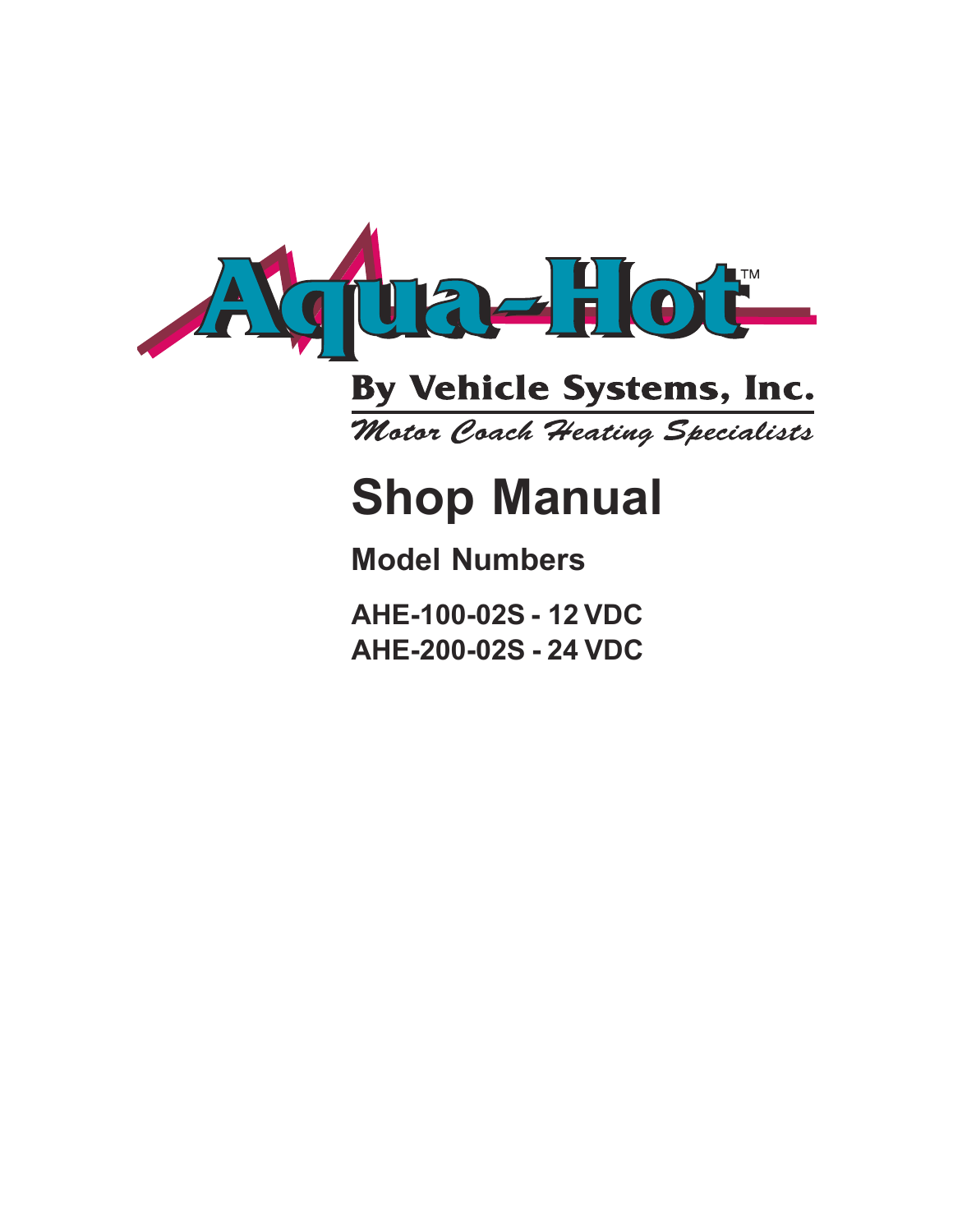

# By Vehicle Systems, Inc.

Motor Coach Heating Specialists

# **Shop Manual**

# **Model Numbers**

**AHE-100-02S - 12 VDC AHE-200-02S - 24 VDC**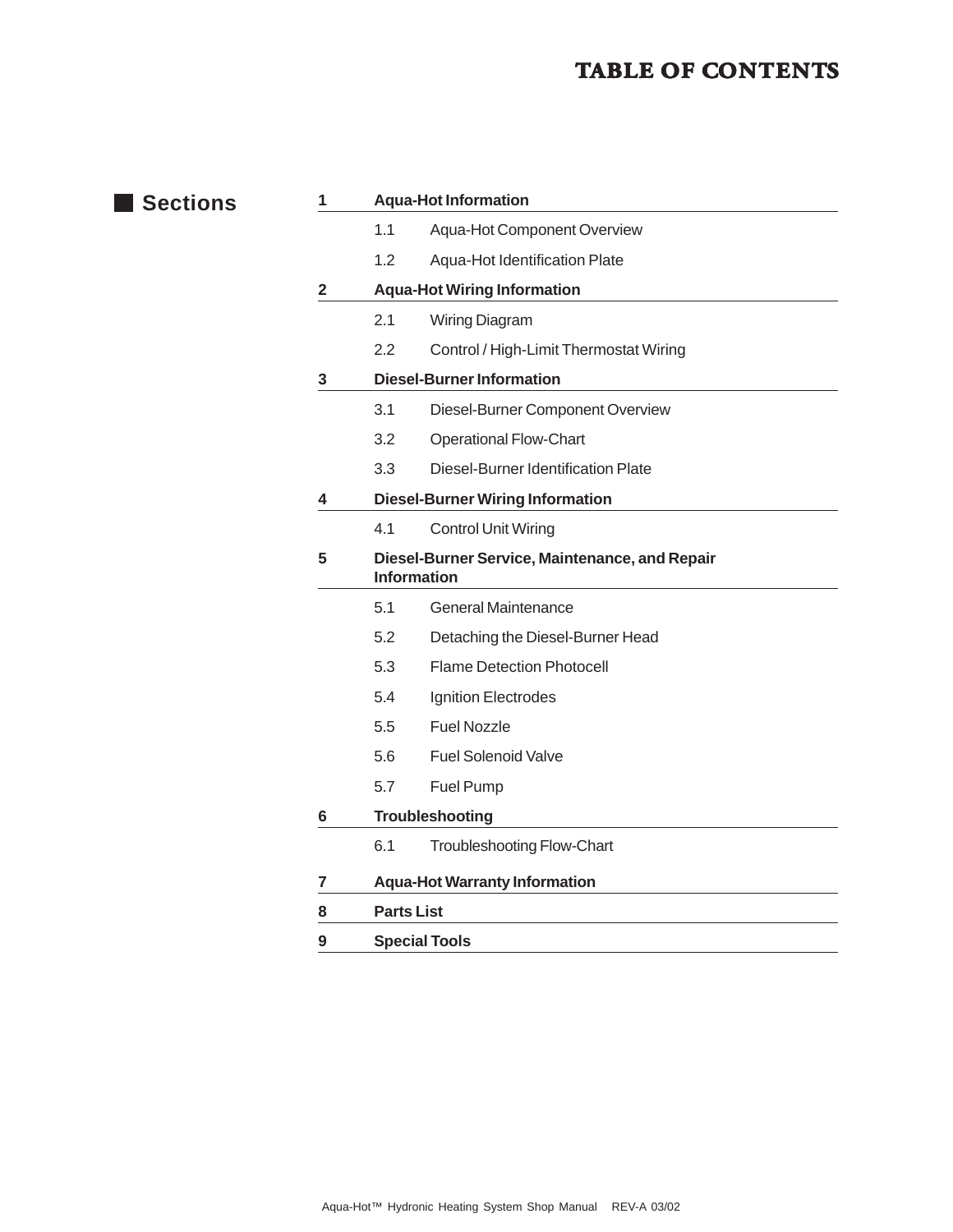#### **TABLE OF CONTENTS**

| <b>Sections</b> | 1                       | <b>Aqua-Hot Information</b>             |                                                                      |  |
|-----------------|-------------------------|-----------------------------------------|----------------------------------------------------------------------|--|
|                 |                         | 1.1                                     | Aqua-Hot Component Overview                                          |  |
|                 |                         | 1.2                                     | Aqua-Hot Identification Plate                                        |  |
|                 | $\overline{2}$          | <b>Aqua-Hot Wiring Information</b>      |                                                                      |  |
|                 |                         | 2.1                                     | Wiring Diagram                                                       |  |
|                 |                         | 2.2                                     | Control / High-Limit Thermostat Wiring                               |  |
|                 | $\mathbf{3}$            | <b>Diesel-Burner Information</b>        |                                                                      |  |
|                 |                         | 3.1                                     | Diesel-Burner Component Overview                                     |  |
|                 |                         | 3.2                                     | <b>Operational Flow-Chart</b>                                        |  |
|                 |                         | 3.3                                     | Diesel-Burner Identification Plate                                   |  |
|                 | 4                       | <b>Diesel-Burner Wiring Information</b> |                                                                      |  |
|                 |                         | 4.1                                     | <b>Control Unit Wiring</b>                                           |  |
|                 | $5\phantom{.0}$         |                                         | Diesel-Burner Service, Maintenance, and Repair<br><b>Information</b> |  |
|                 |                         | 5.1                                     | <b>General Maintenance</b>                                           |  |
|                 |                         | 5.2                                     | Detaching the Diesel-Burner Head                                     |  |
|                 |                         | 5.3                                     | <b>Flame Detection Photocell</b>                                     |  |
|                 |                         | 5.4                                     | Ignition Electrodes                                                  |  |
|                 |                         | 5.5                                     | <b>Fuel Nozzle</b>                                                   |  |
|                 |                         | 5.6                                     | <b>Fuel Solenoid Valve</b>                                           |  |
|                 |                         | 5.7                                     | Fuel Pump                                                            |  |
|                 | 6                       | Troubleshooting                         |                                                                      |  |
|                 |                         | 6.1                                     | <b>Troubleshooting Flow-Chart</b>                                    |  |
|                 | $\overline{\mathbf{7}}$ | <b>Aqua-Hot Warranty Information</b>    |                                                                      |  |
|                 | 8                       | <b>Parts List</b>                       |                                                                      |  |
|                 | 9                       | <b>Special Tools</b>                    |                                                                      |  |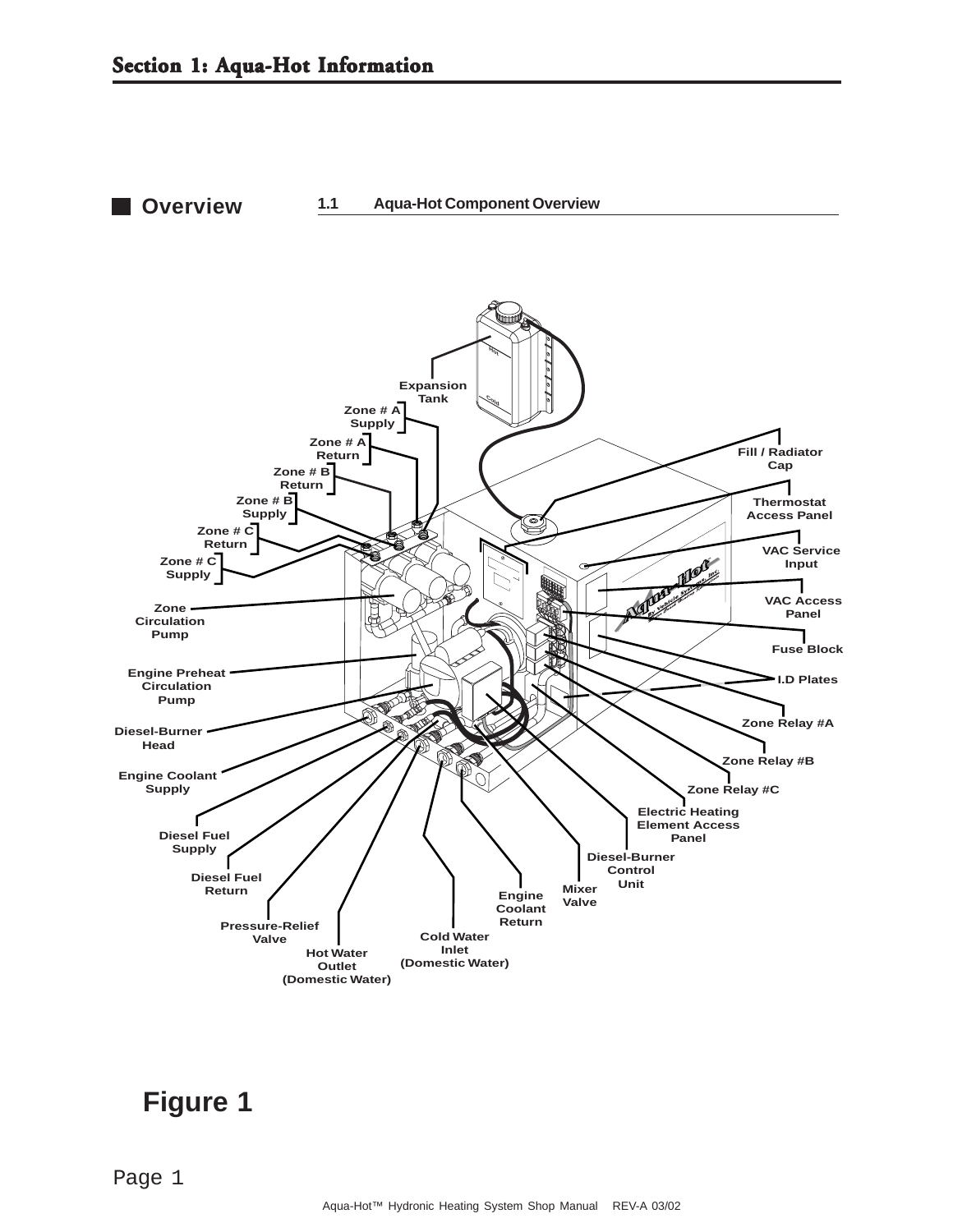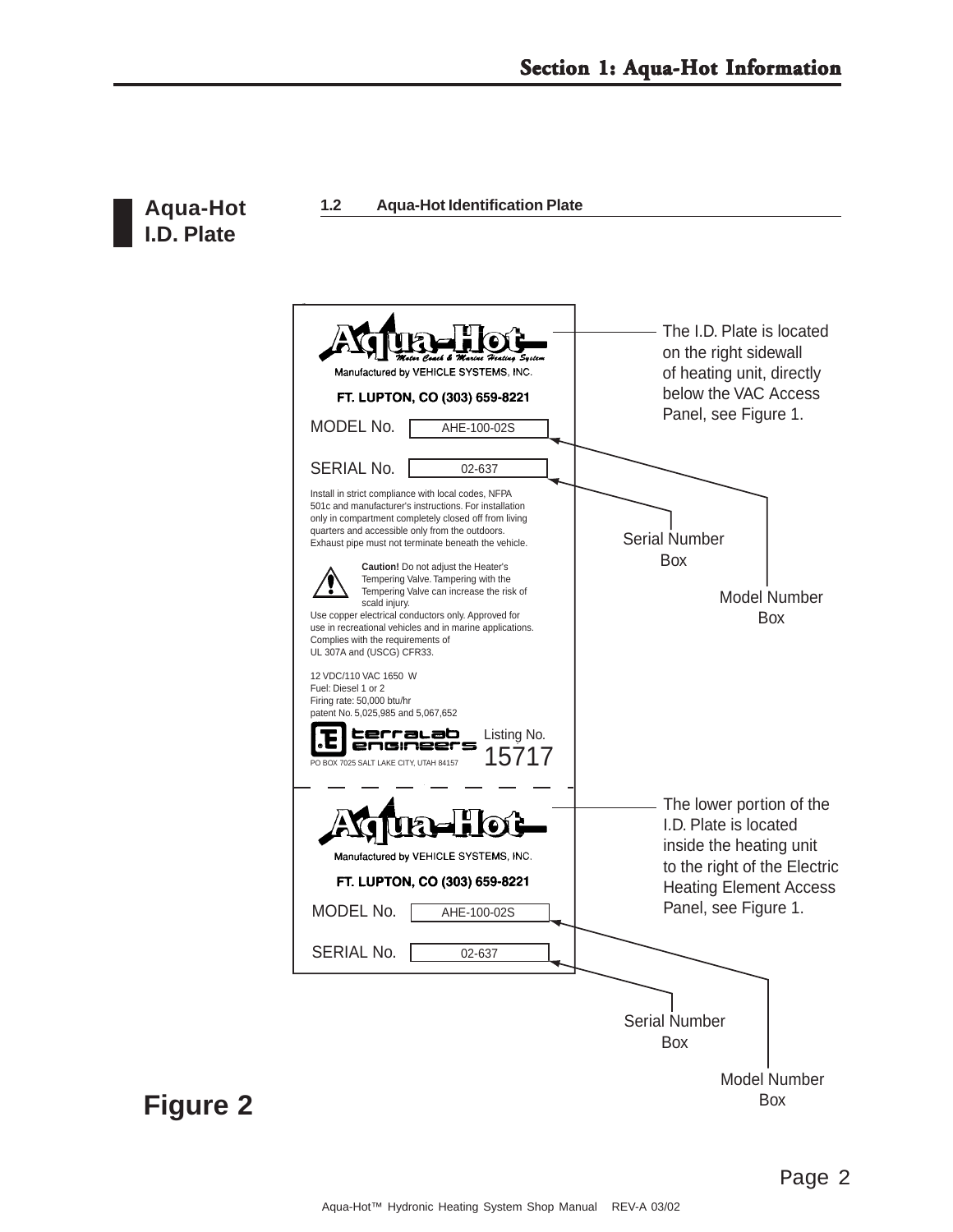

**Aqua-Hot 1.2 Aqua-Hot Identification Plate**

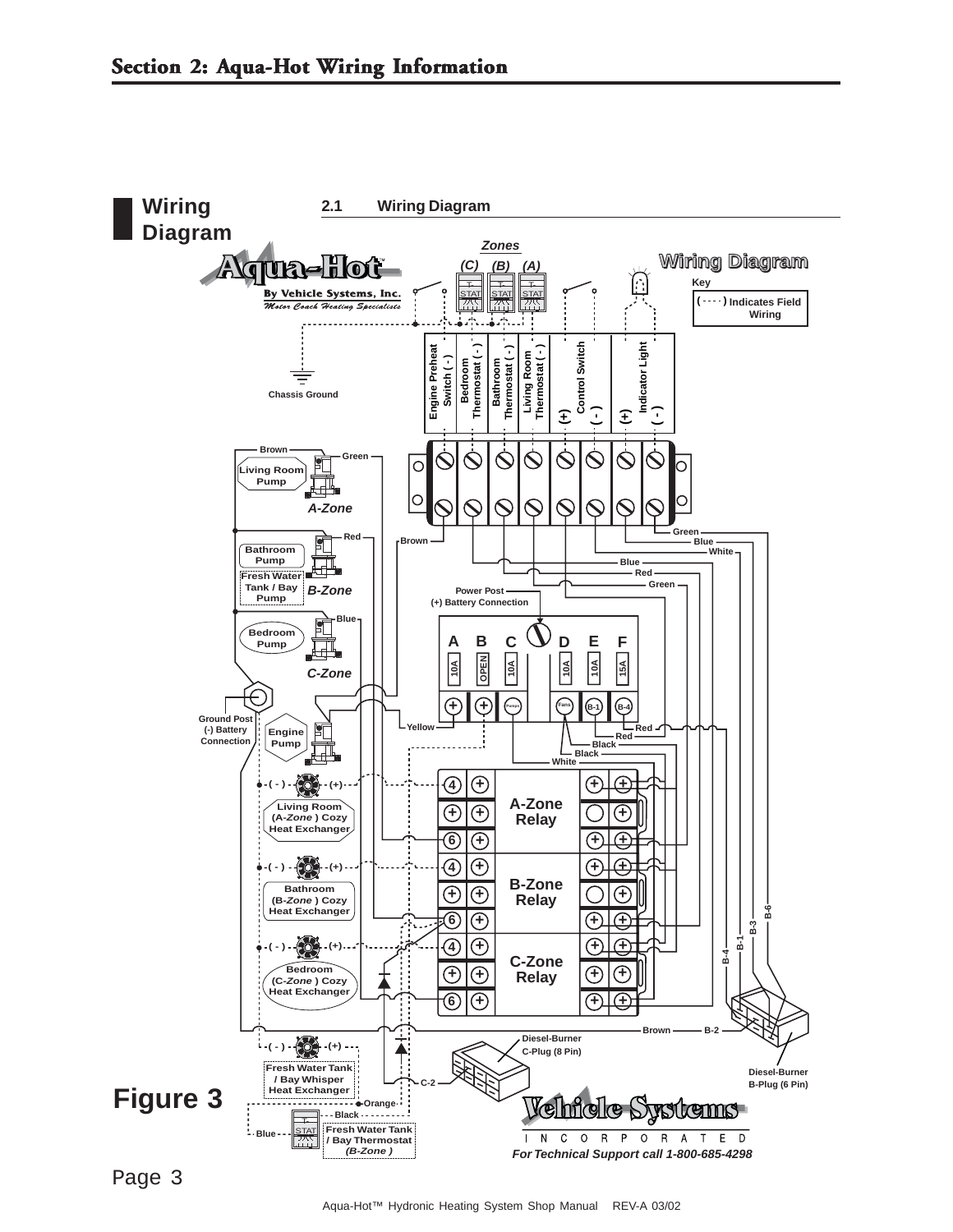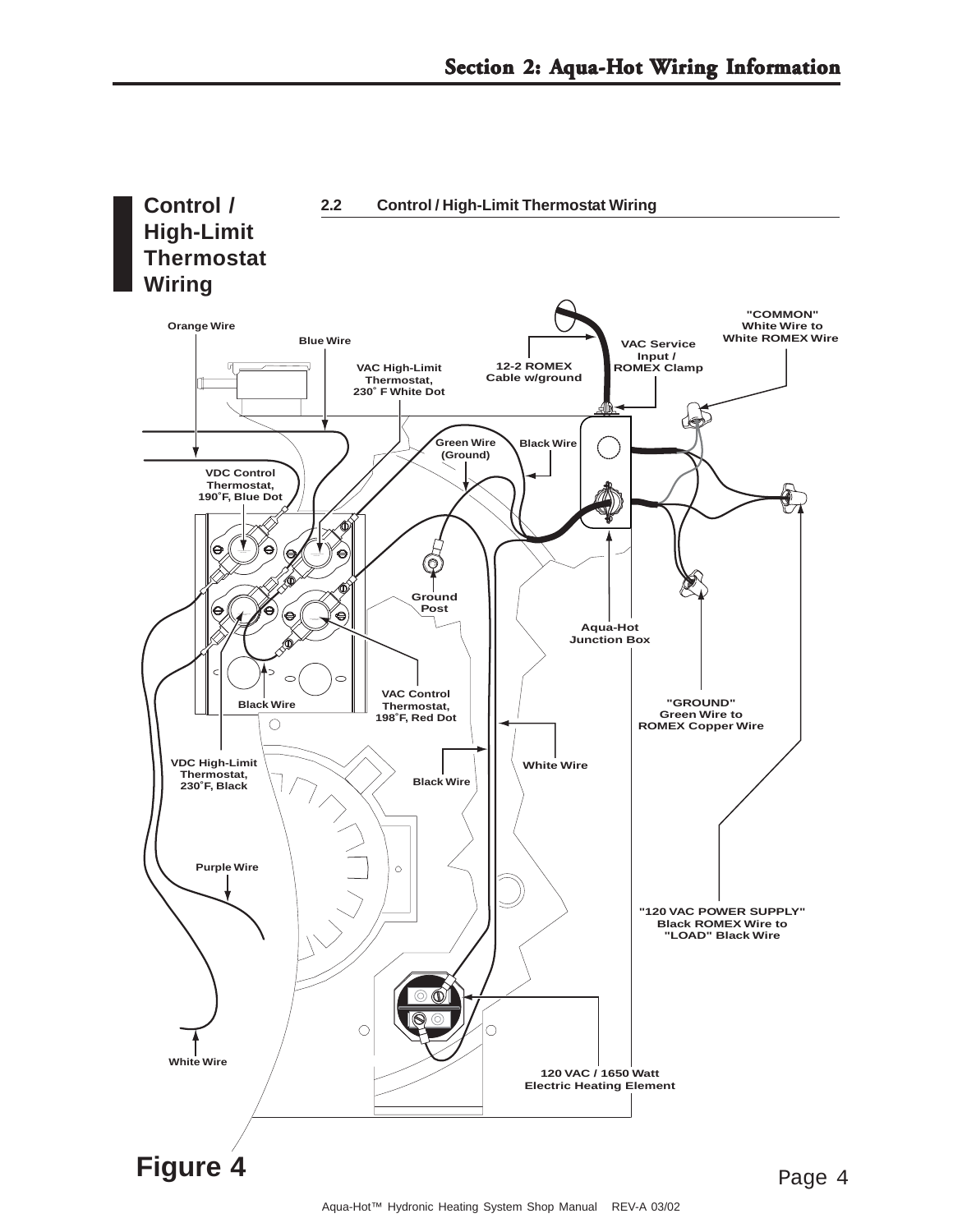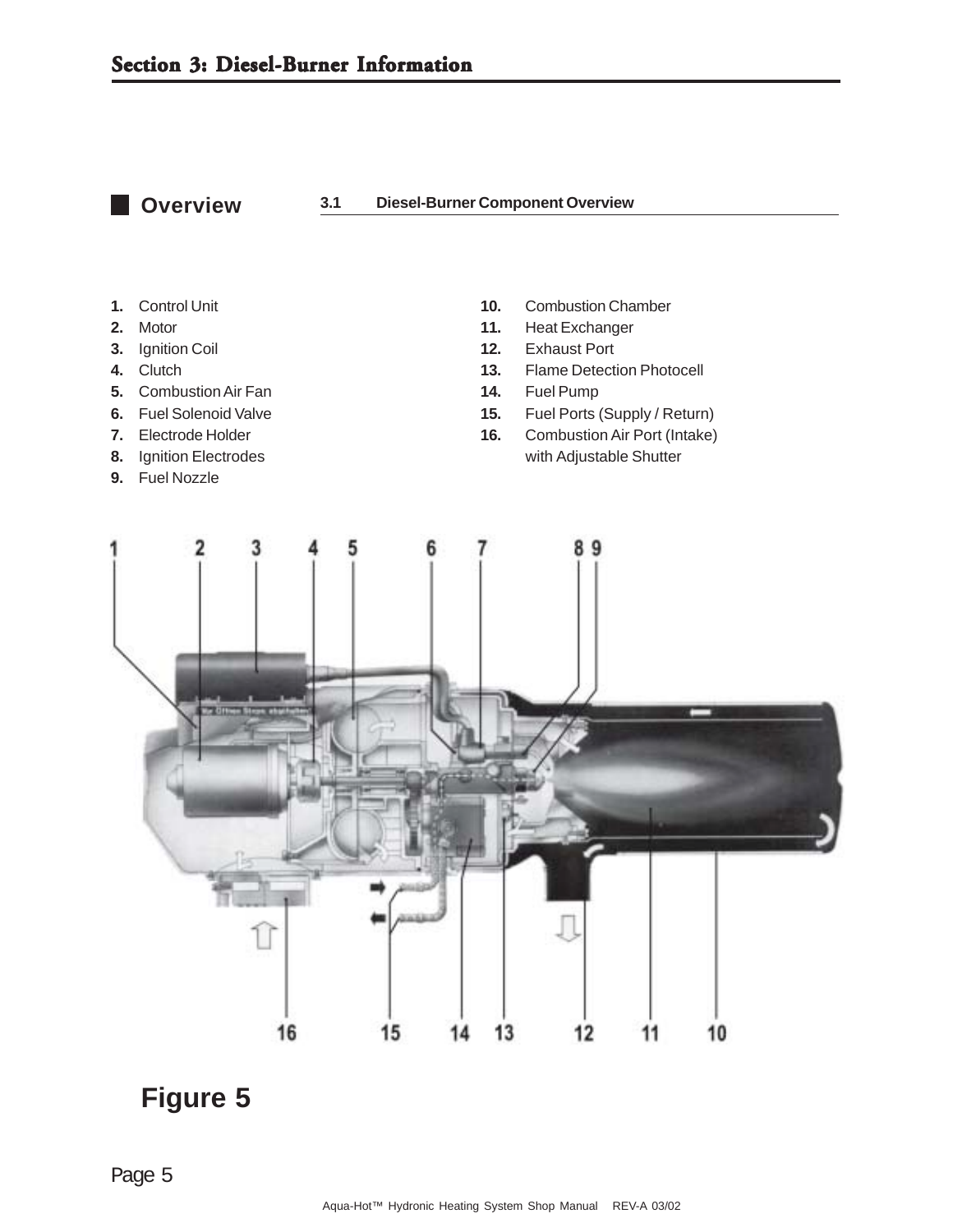**Overview** 

#### **3.1 Diesel-Burner Component Overview**

- 
- 
- 
- 
- **5.** Combustion Air Fan **14.** Fuel Pump
- 
- 
- 
- **9.** Fuel Nozzle
- **1.** Control Unit **10.** Combustion Chamber
- **2.** Motor **11.** Heat Exchanger
- **3.** Ignition Coil **12.** Exhaust Port
- **4.** Clutch **13.** Flame Detection Photocell
	-
- **6.** Fuel Solenoid Valve **15.** Fuel Ports (Supply / Return)
- **7.** Electrode Holder **16.** Combustion Air Port (Intake) **8.** Ignition Electrodes **and Shutter** with Adjustable Shutter

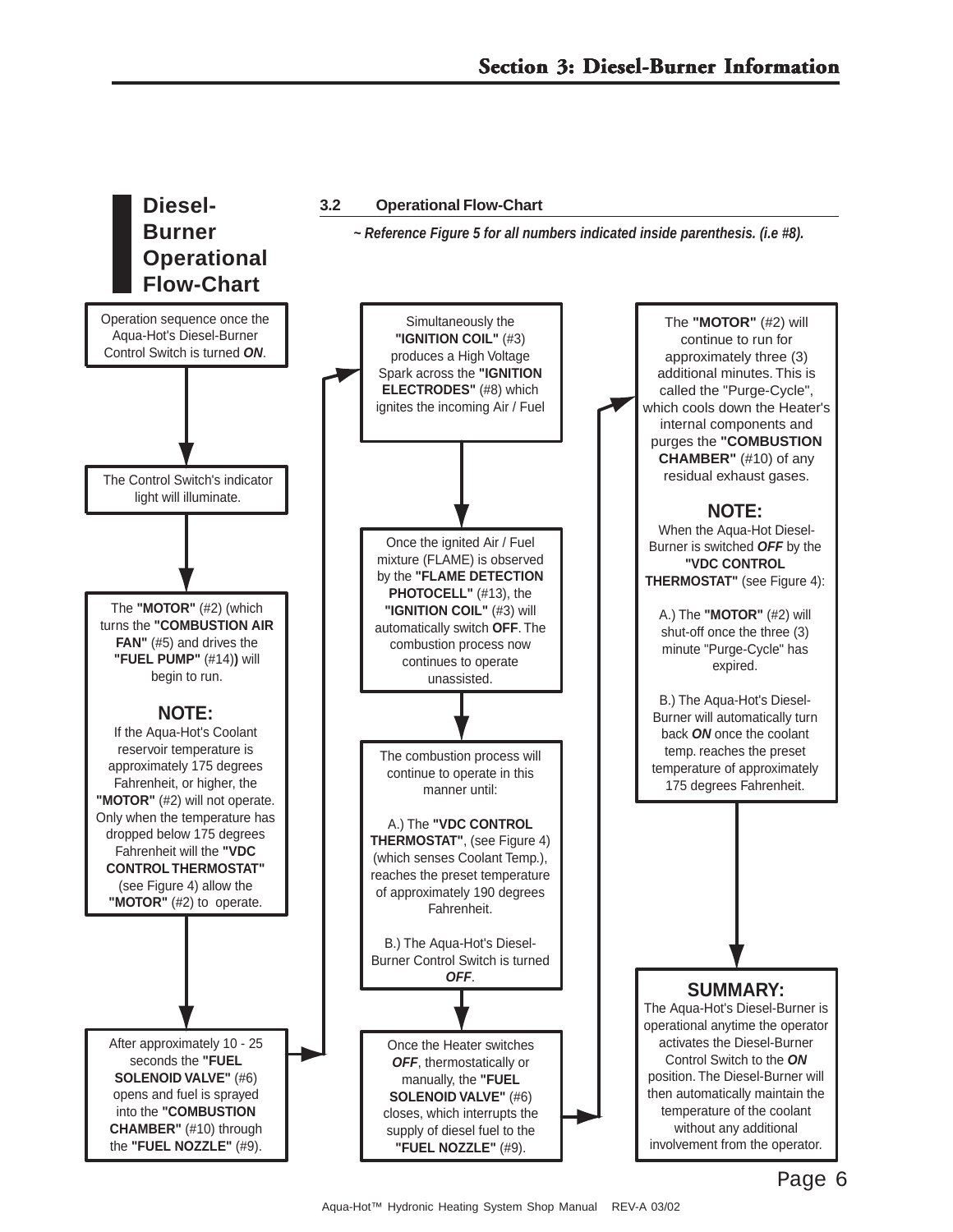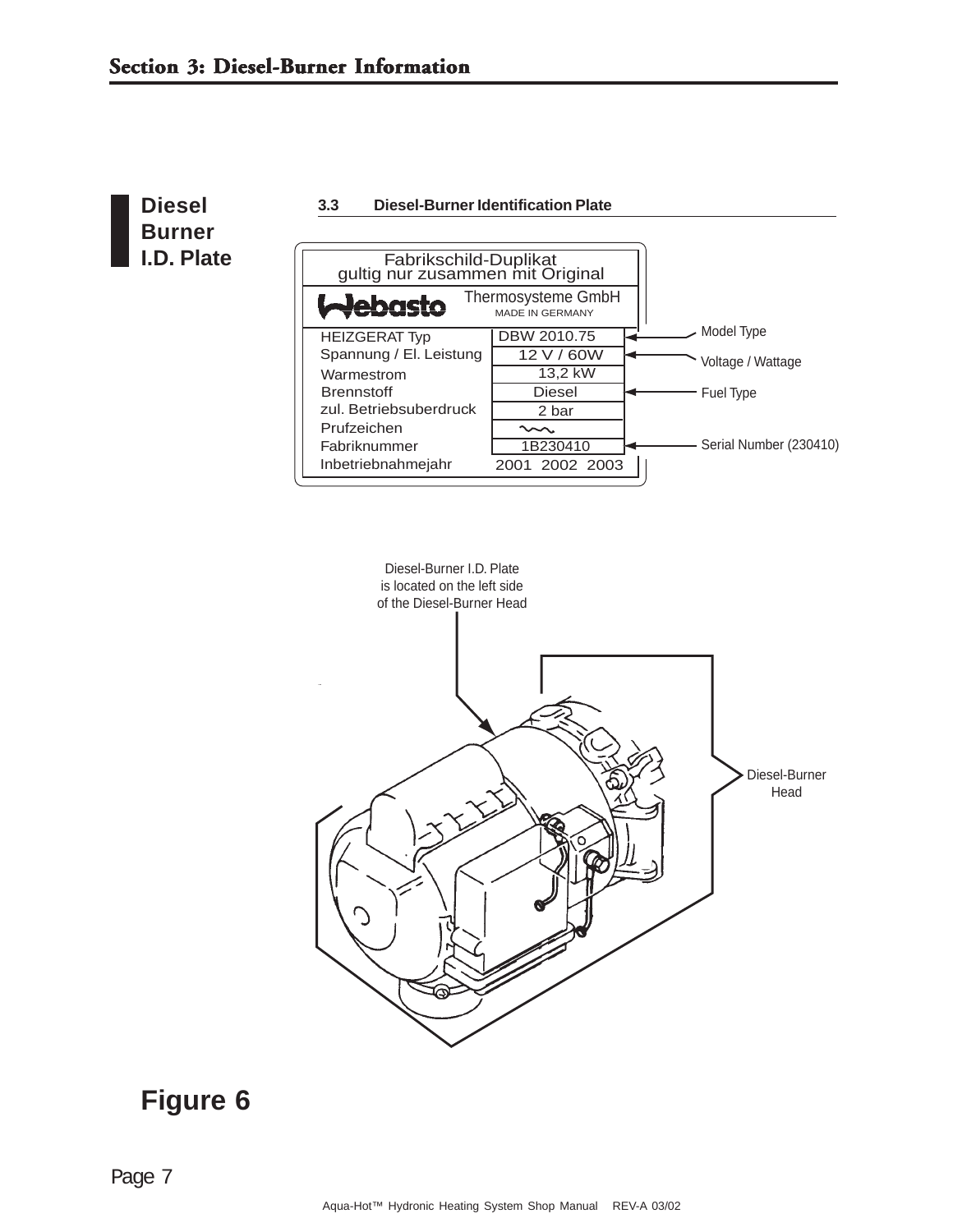

**3.3 Diesel-Burner Identification Plate**



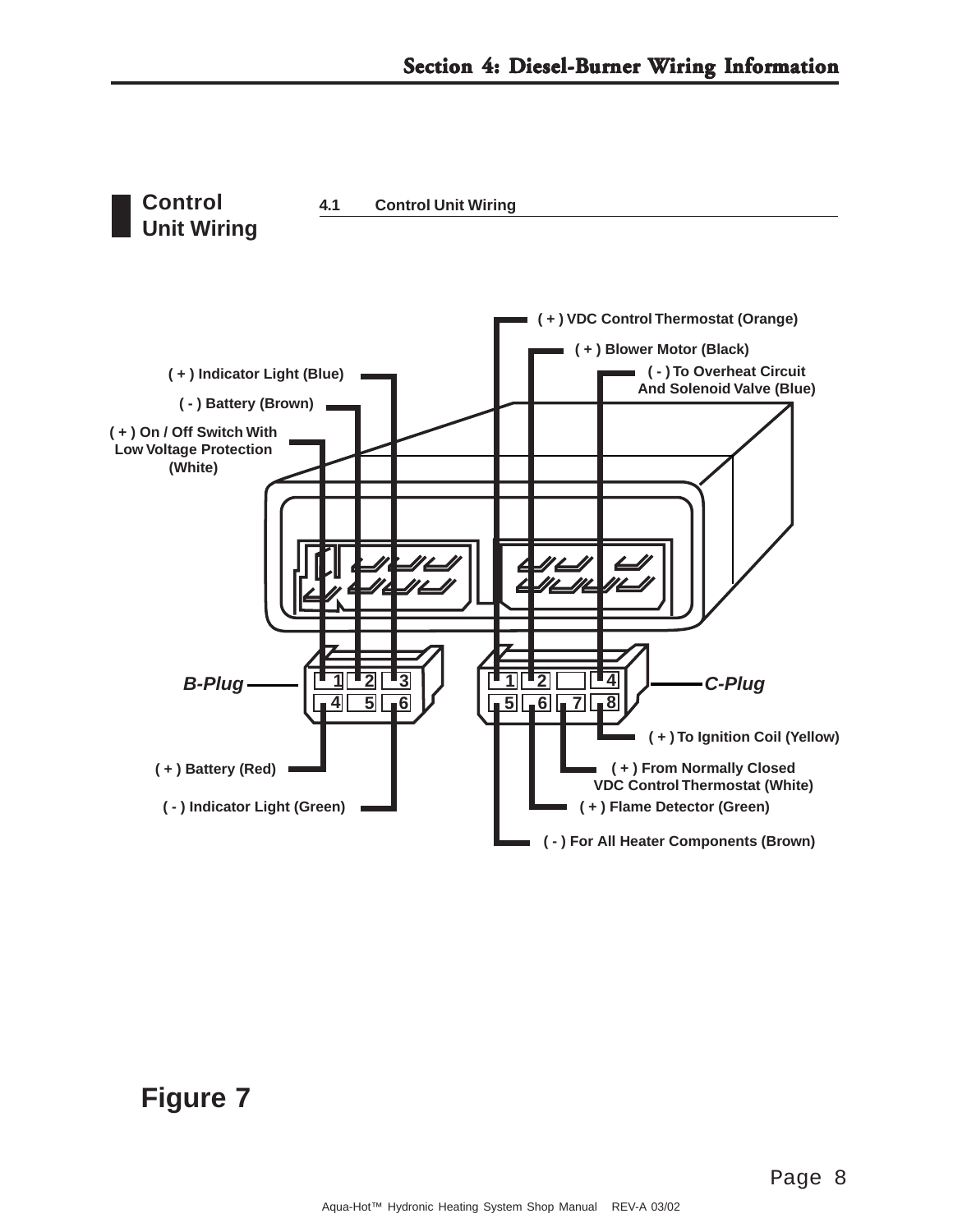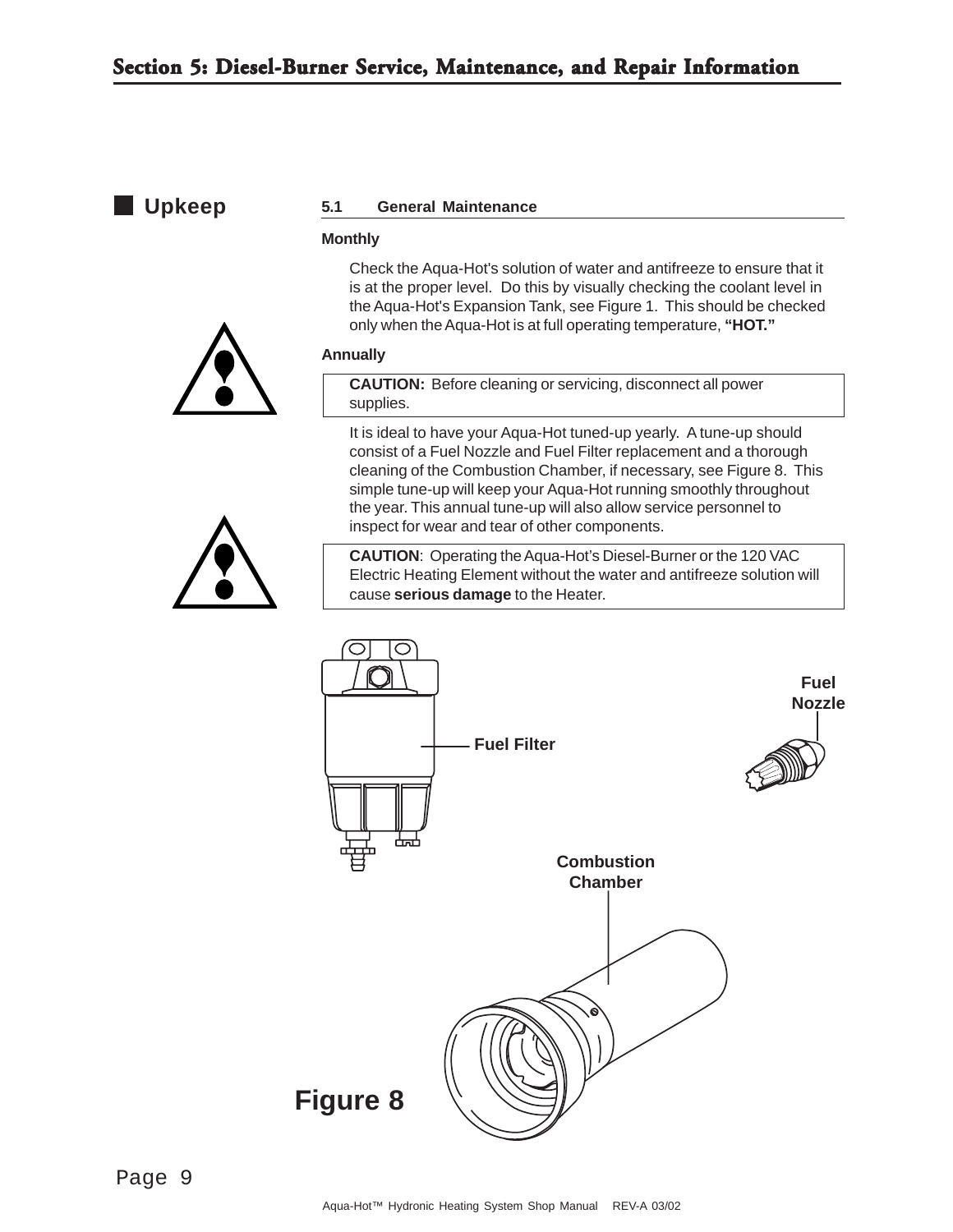#### **Upkeep**

#### **5.1 General Maintenance**

#### **Monthly**

Check the Aqua-Hot's solution of water and antifreeze to ensure that it is at the proper level. Do this by visually checking the coolant level in the Aqua-Hot's Expansion Tank, see Figure 1. This should be checked only when the Aqua-Hot is at full operating temperature, **"HOT."**

#### **Annually**

**CAUTION:** Before cleaning or servicing, disconnect all power supplies.

It is ideal to have your Aqua-Hot tuned-up yearly. A tune-up should consist of a Fuel Nozzle and Fuel Filter replacement and a thorough cleaning of the Combustion Chamber, if necessary, see Figure 8. This simple tune-up will keep your Aqua-Hot running smoothly throughout the year. This annual tune-up will also allow service personnel to inspect for wear and tear of other components.



**CAUTION**: Operating the Aqua-Hot's Diesel-Burner or the 120 VAC Electric Heating Element without the water and antifreeze solution will cause **serious damage** to the Heater.

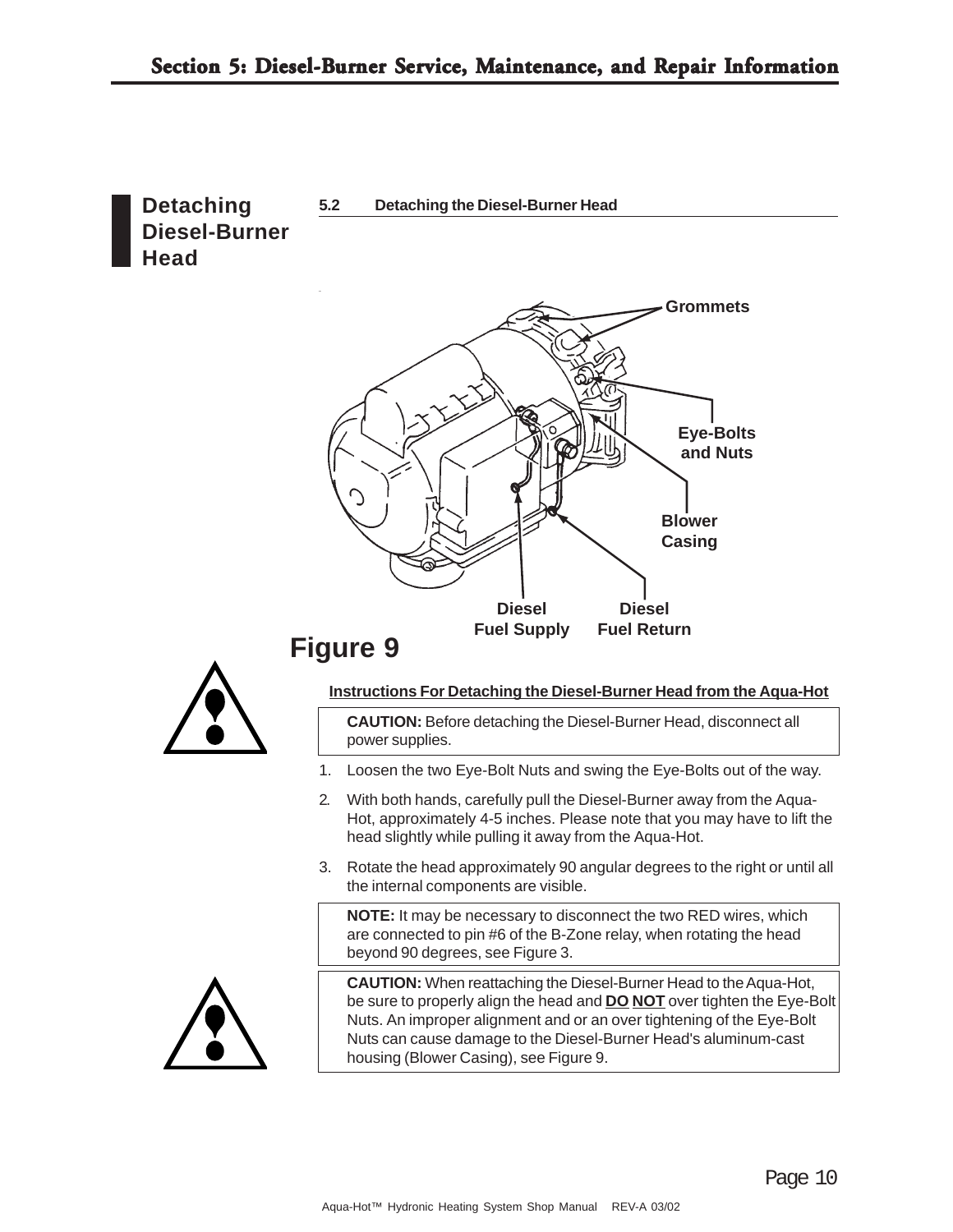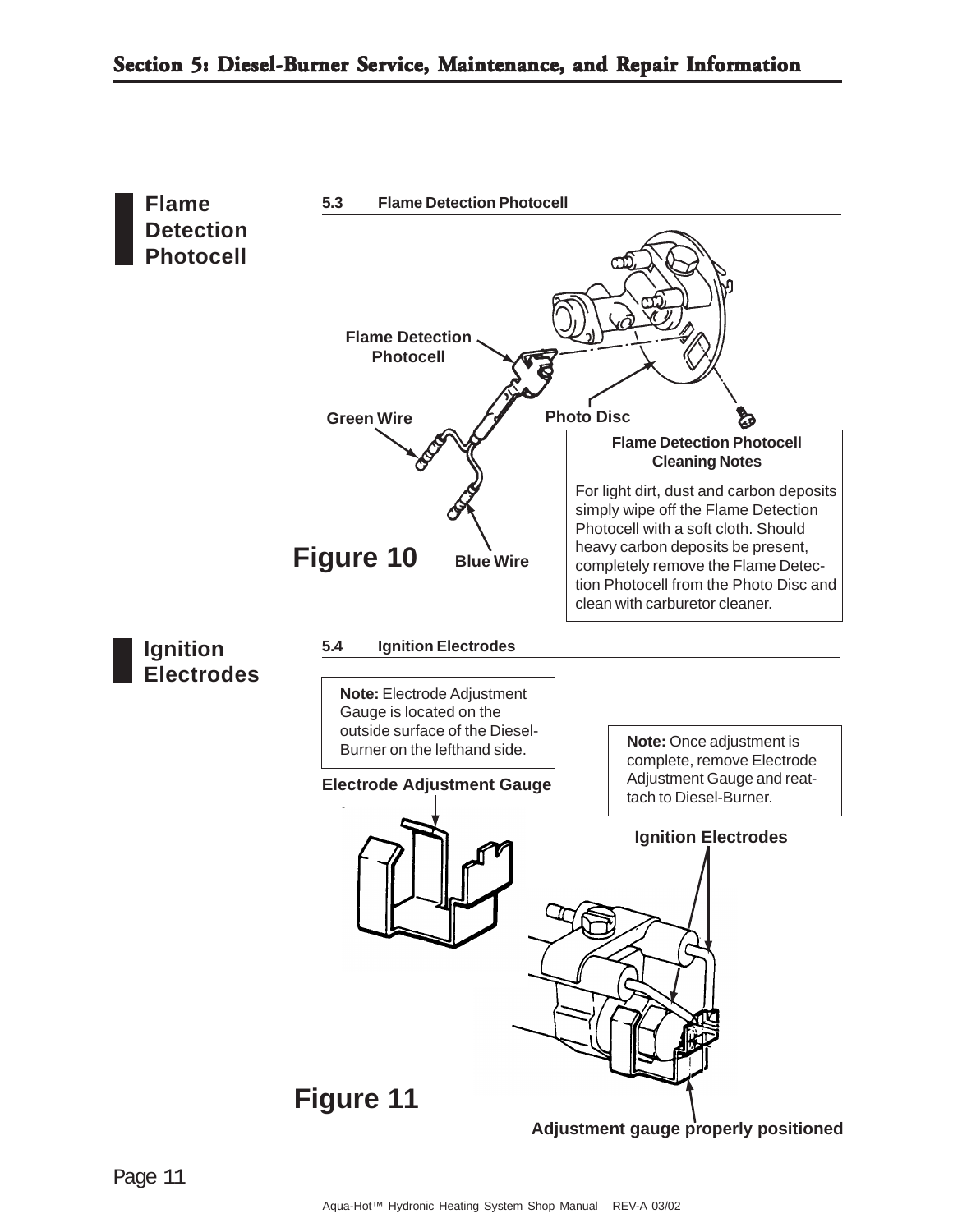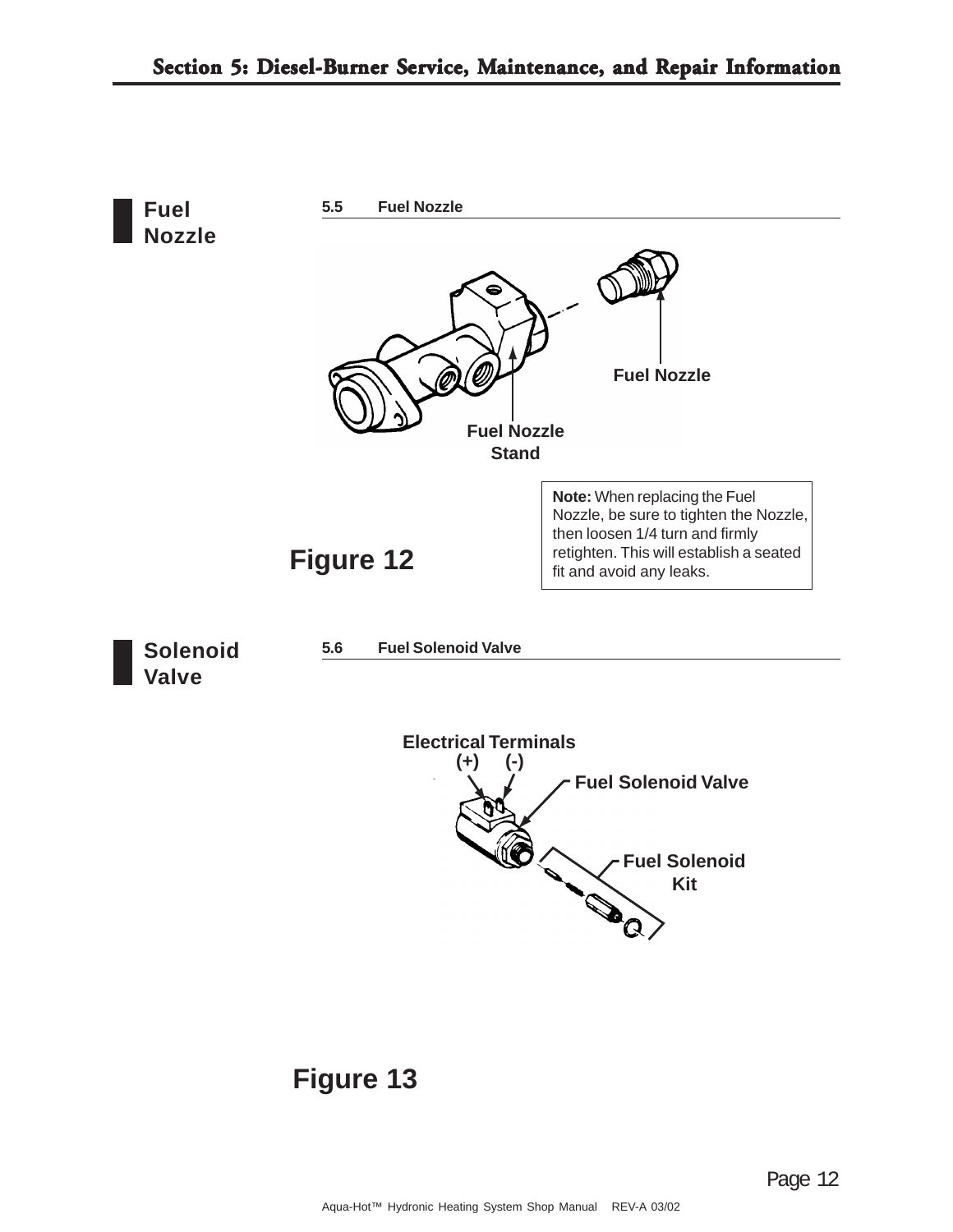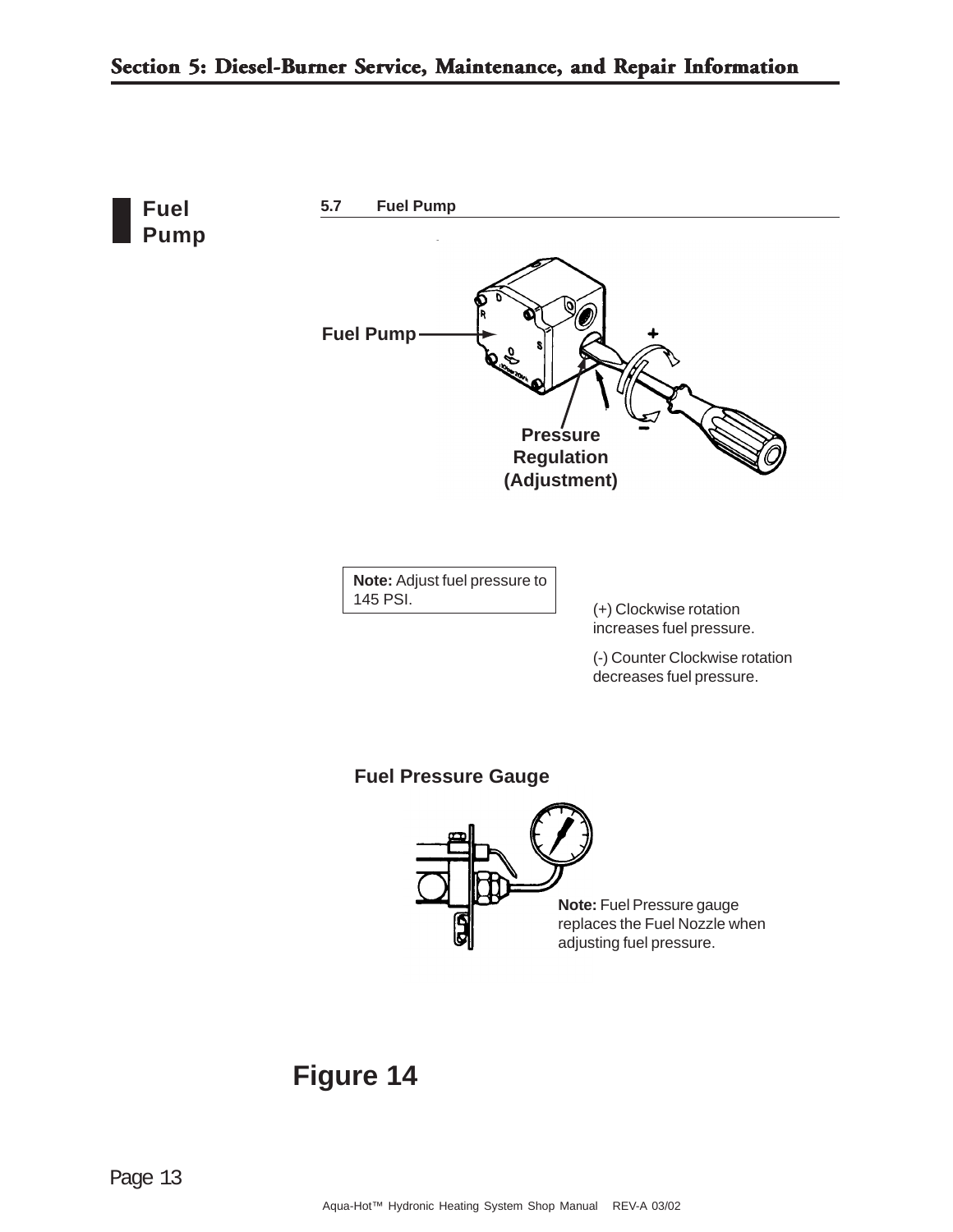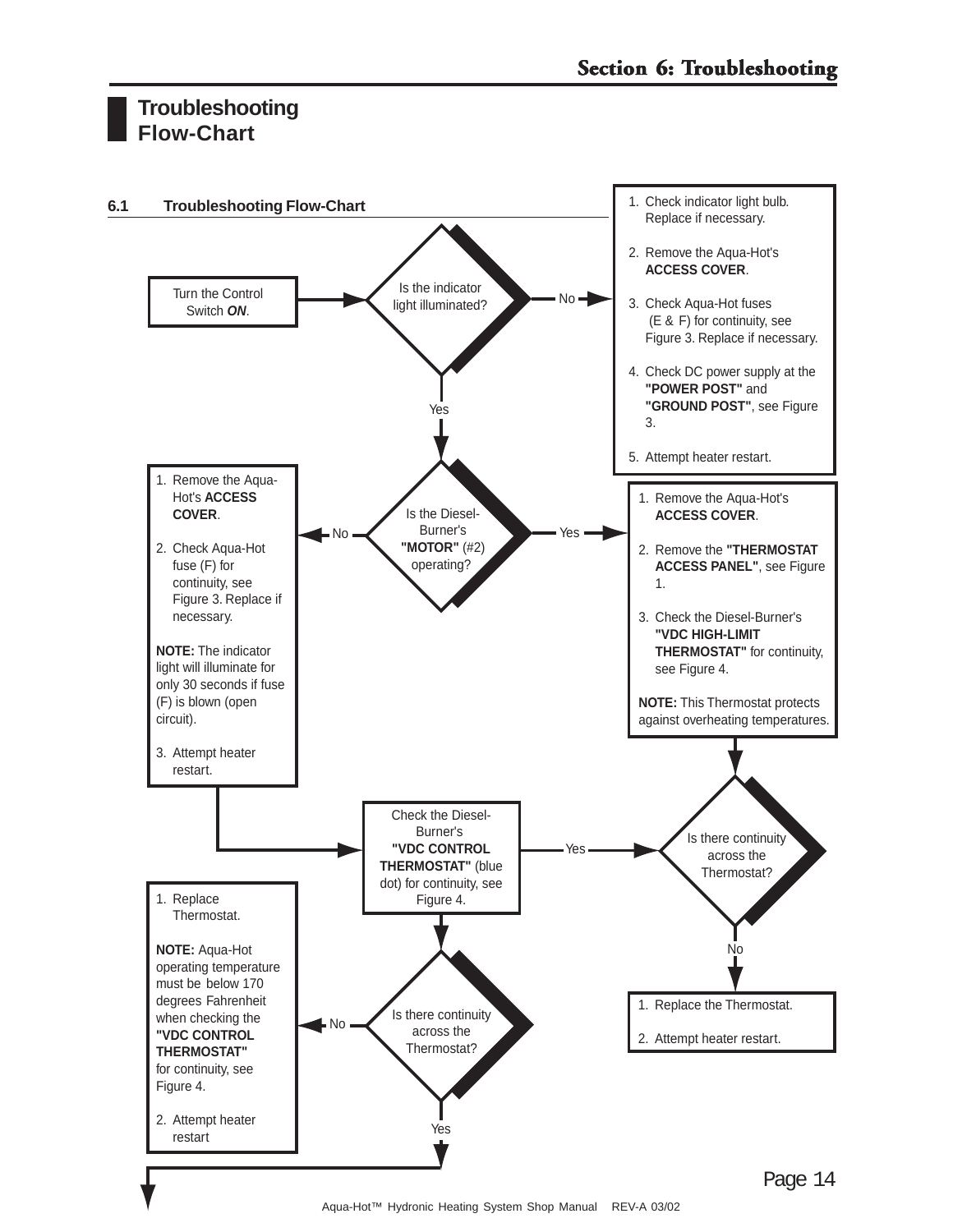#### **Troubleshooting Flow-Chart**

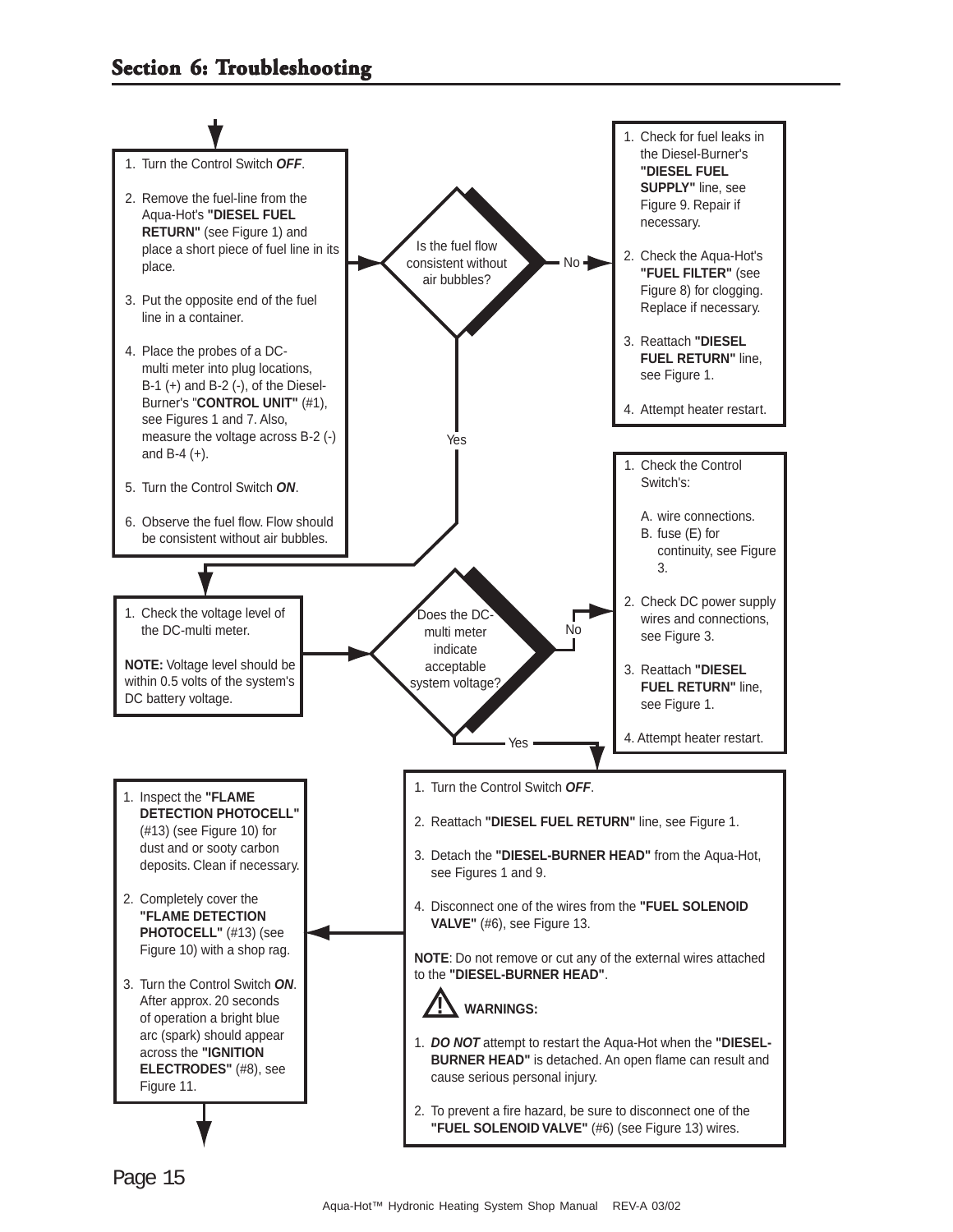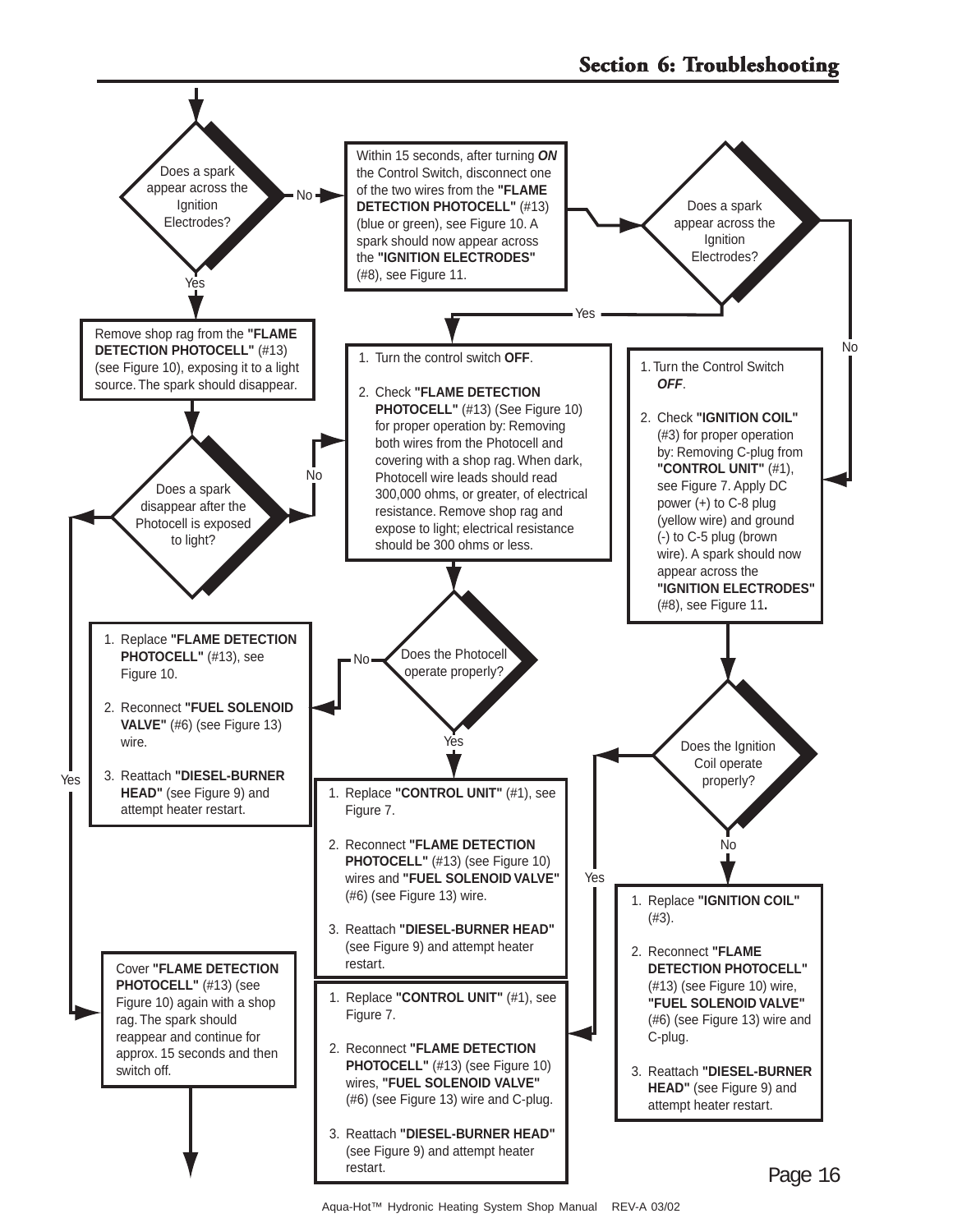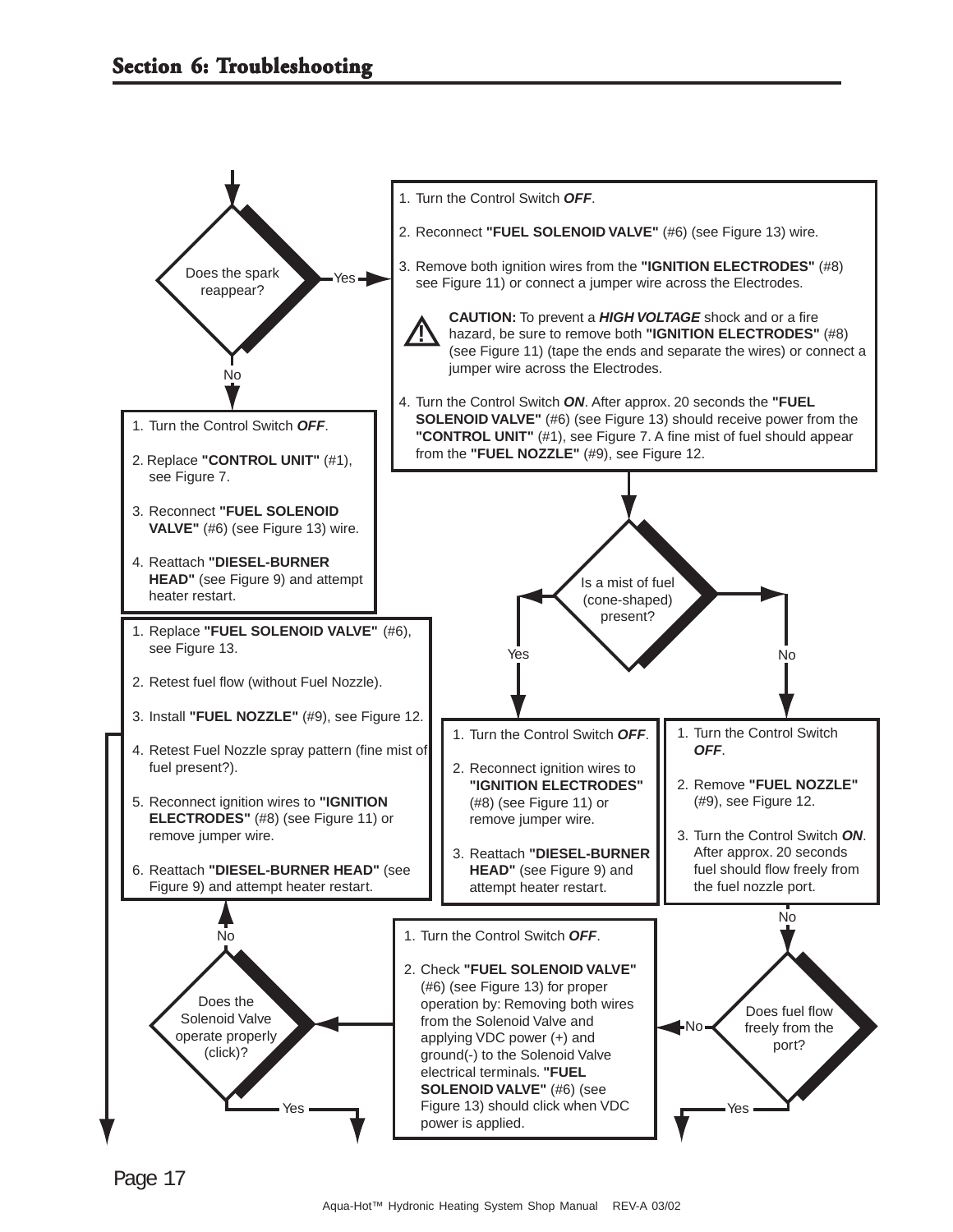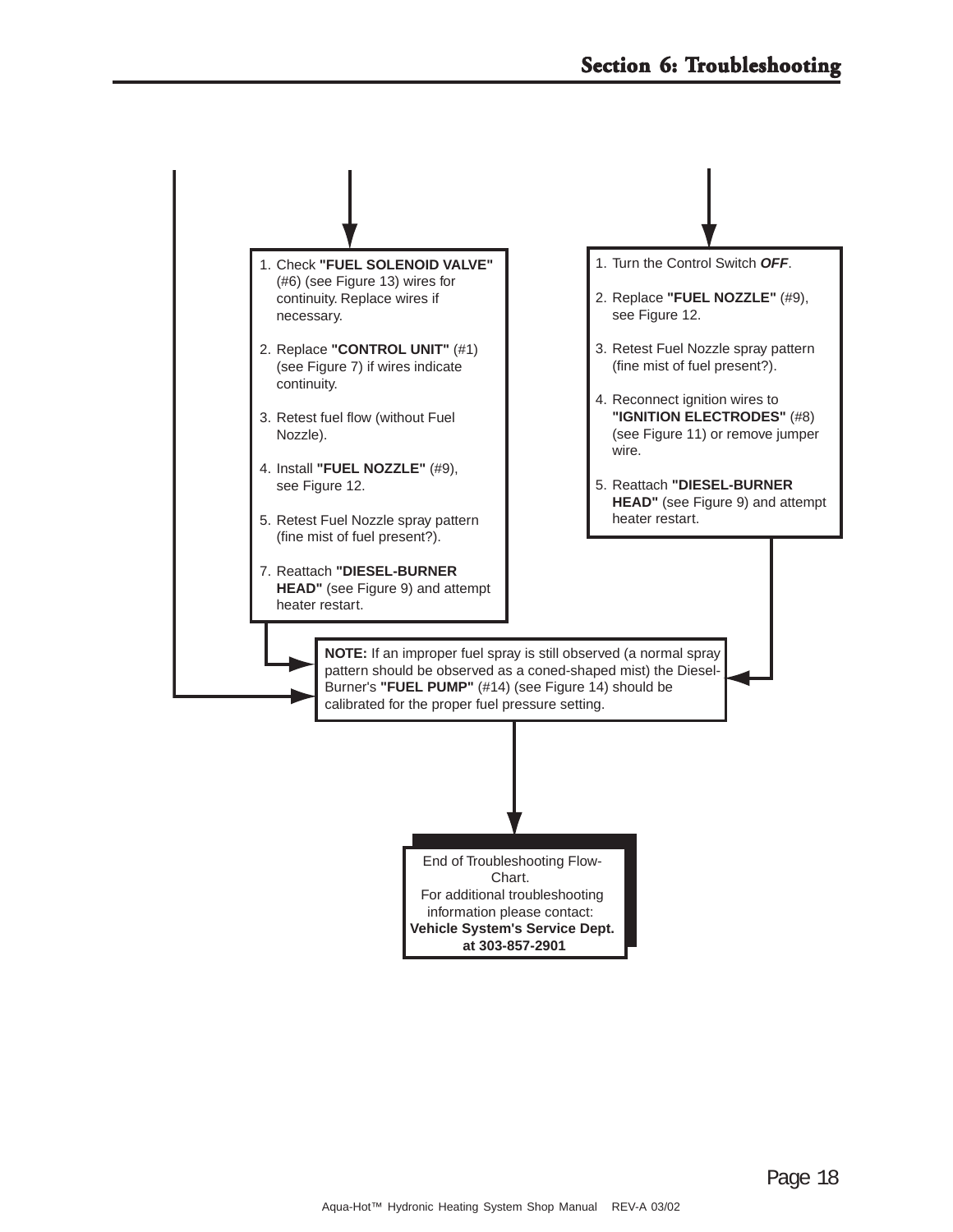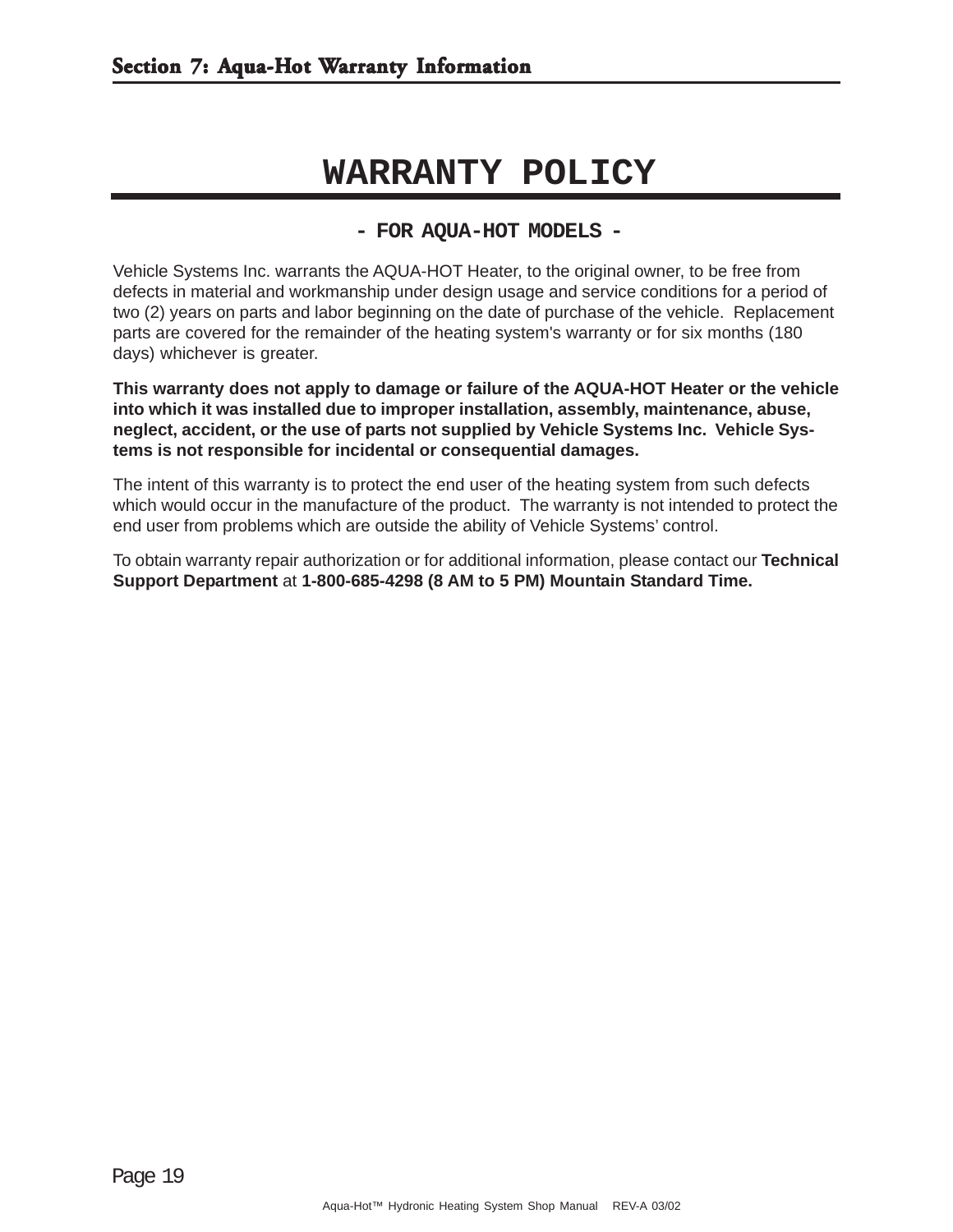## **WARRANTY POLICY**

#### **- FOR AQUA-HOT MODELS -**

Vehicle Systems Inc. warrants the AQUA-HOT Heater, to the original owner, to be free from defects in material and workmanship under design usage and service conditions for a period of two (2) years on parts and labor beginning on the date of purchase of the vehicle. Replacement parts are covered for the remainder of the heating system's warranty or for six months (180 days) whichever is greater.

**This warranty does not apply to damage or failure of the AQUA-HOT Heater or the vehicle into which it was installed due to improper installation, assembly, maintenance, abuse, neglect, accident, or the use of parts not supplied by Vehicle Systems Inc. Vehicle Systems is not responsible for incidental or consequential damages.**

The intent of this warranty is to protect the end user of the heating system from such defects which would occur in the manufacture of the product. The warranty is not intended to protect the end user from problems which are outside the ability of Vehicle Systems' control.

To obtain warranty repair authorization or for additional information, please contact our **Technical Support Department** at **1-800-685-4298 (8 AM to 5 PM) Mountain Standard Time.**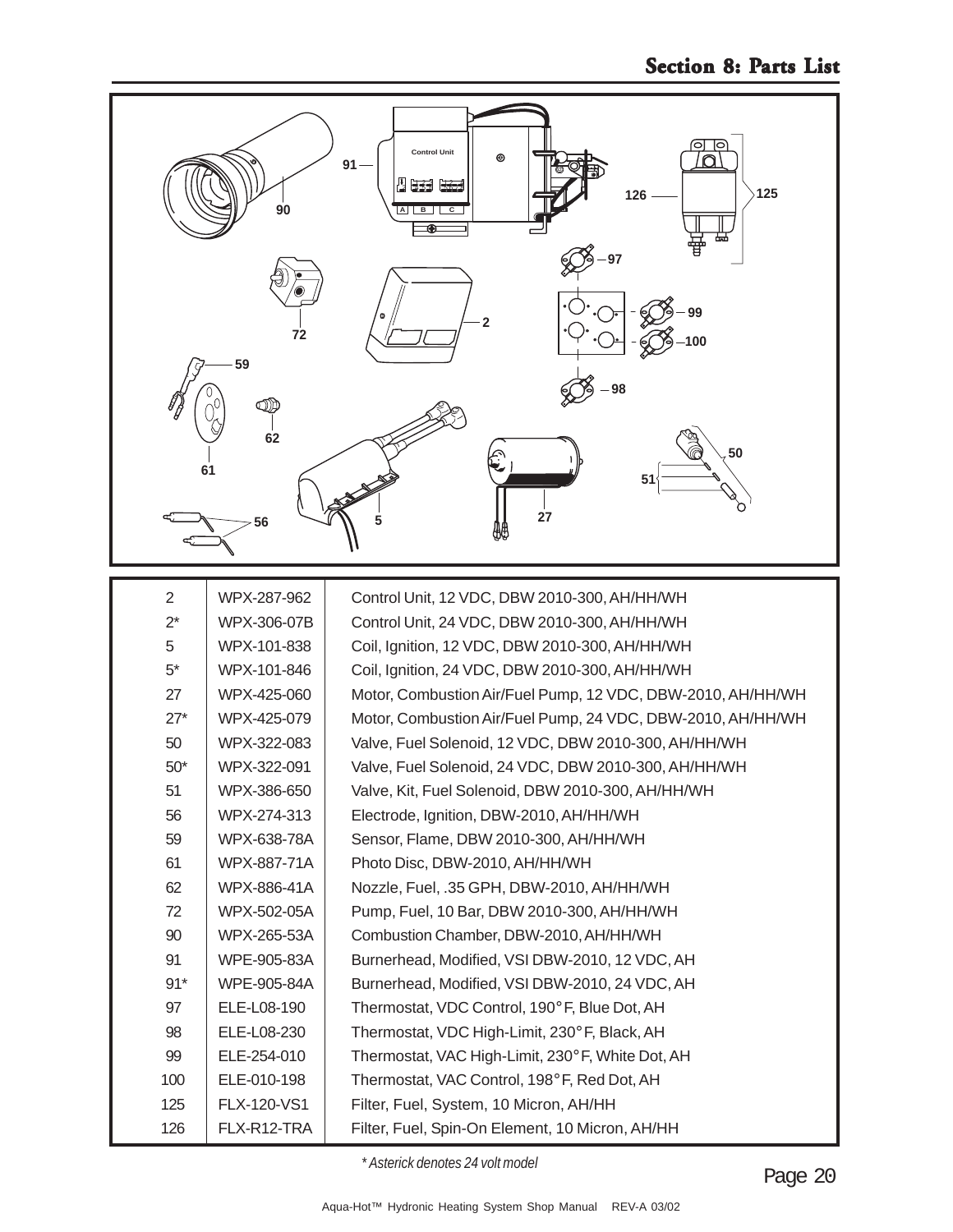

| $\overline{2}$ | WPX-287-962 | Control Unit, 12 VDC, DBW 2010-300, AH/HH/WH                |
|----------------|-------------|-------------------------------------------------------------|
| $2^*$          | WPX-306-07B | Control Unit, 24 VDC, DBW 2010-300, AH/HH/WH                |
| 5              | WPX-101-838 | Coil, Ignition, 12 VDC, DBW 2010-300, AH/HH/WH              |
| $5^*$          | WPX-101-846 | Coil, Ignition, 24 VDC, DBW 2010-300, AH/HH/WH              |
| 27             | WPX-425-060 | Motor, Combustion Air/Fuel Pump, 12 VDC, DBW-2010, AH/HH/WH |
| $27*$          | WPX-425-079 | Motor, Combustion Air/Fuel Pump, 24 VDC, DBW-2010, AH/HH/WH |
| 50             | WPX-322-083 | Valve, Fuel Solenoid, 12 VDC, DBW 2010-300, AH/HH/WH        |
| $50*$          | WPX-322-091 | Valve, Fuel Solenoid, 24 VDC, DBW 2010-300, AH/HH/WH        |
| 51             | WPX-386-650 | Valve, Kit, Fuel Solenoid, DBW 2010-300, AH/HH/WH           |
| 56             | WPX-274-313 | Electrode, Ignition, DBW-2010, AH/HH/WH                     |
| 59             | WPX-638-78A | Sensor, Flame, DBW 2010-300, AH/HH/WH                       |
| 61             | WPX-887-71A | Photo Disc, DBW-2010, AH/HH/WH                              |
| 62             | WPX-886-41A | Nozzle, Fuel, .35 GPH, DBW-2010, AH/HH/WH                   |
| 72             | WPX-502-05A | Pump, Fuel, 10 Bar, DBW 2010-300, AH/HH/WH                  |
| 90             | WPX-265-53A | Combustion Chamber, DBW-2010, AH/HH/WH                      |
| 91             | WPE-905-83A | Burnerhead, Modified, VSI DBW-2010, 12 VDC, AH              |
| $91*$          | WPE-905-84A | Burnerhead, Modified, VSI DBW-2010, 24 VDC, AH              |
| 97             | ELE-L08-190 | Thermostat, VDC Control, 190°F, Blue Dot, AH                |
| 98             | ELE-L08-230 | Thermostat, VDC High-Limit, 230° F, Black, AH               |
| 99             | ELE-254-010 | Thermostat, VAC High-Limit, 230° F, White Dot, AH           |
| 100            | ELE-010-198 | Thermostat, VAC Control, 198° F, Red Dot, AH                |
| 125            | FLX-120-VS1 | Filter, Fuel, System, 10 Micron, AH/HH                      |
| 126            | FLX-R12-TRA | Filter, Fuel, Spin-On Element, 10 Micron, AH/HH             |

*\* Asterick denotes 24 volt model*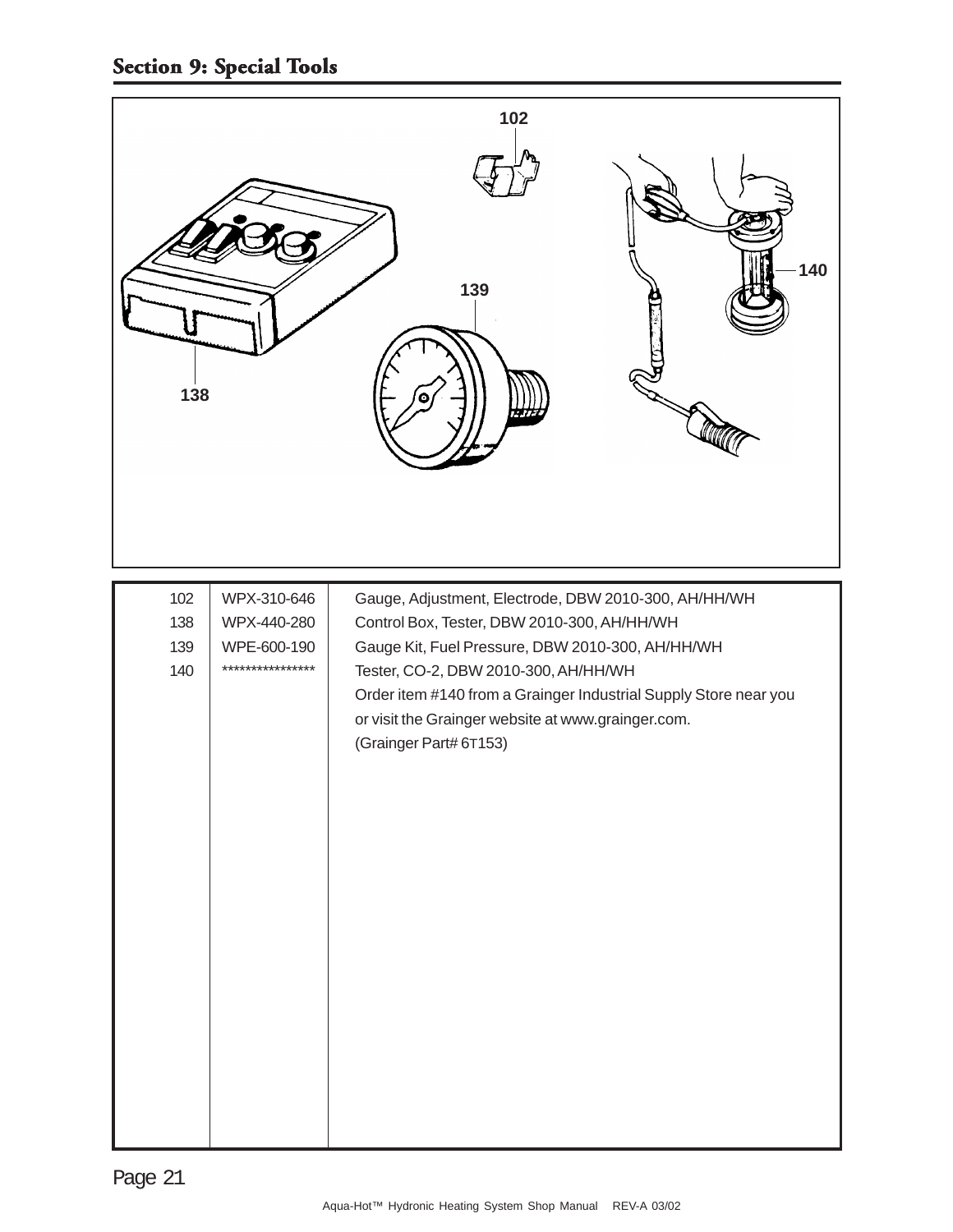